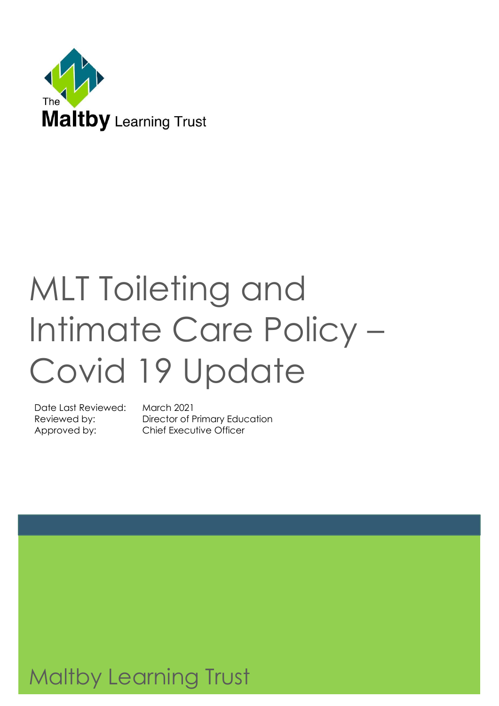

# MLT Toileting and Intimate Care Policy – Covid 19 Update

Date Last Reviewed: March 2021

Reviewed by: Director of Primary Education Approved by: Chief Executive Officer

Maltby Learning Trust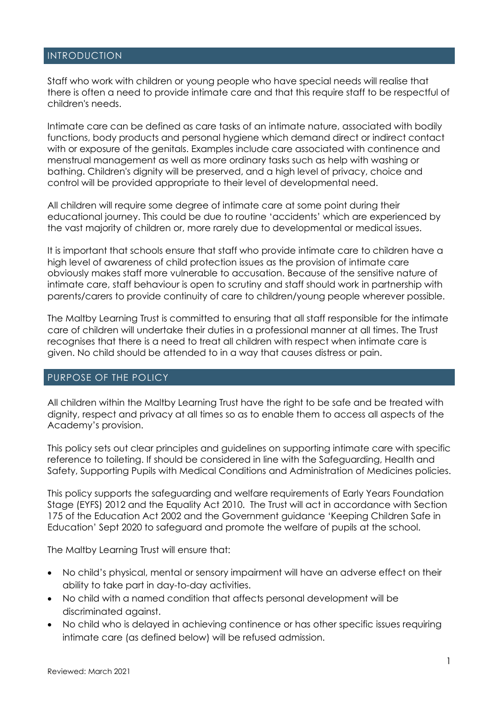#### INTRODUCTION

Staff who work with children or young people who have special needs will realise that there is often a need to provide intimate care and that this require staff to be respectful of children's needs.

Intimate care can be defined as care tasks of an intimate nature, associated with bodily functions, body products and personal hygiene which demand direct or indirect contact with or exposure of the genitals. Examples include care associated with continence and menstrual management as well as more ordinary tasks such as help with washing or bathing. Children's dignity will be preserved, and a high level of privacy, choice and control will be provided appropriate to their level of developmental need.

All children will require some degree of intimate care at some point during their educational journey. This could be due to routine 'accidents' which are experienced by the vast majority of children or, more rarely due to developmental or medical issues.

It is important that schools ensure that staff who provide intimate care to children have a high level of awareness of child protection issues as the provision of intimate care obviously makes staff more vulnerable to accusation. Because of the sensitive nature of intimate care, staff behaviour is open to scrutiny and staff should work in partnership with parents/carers to provide continuity of care to children/young people wherever possible.

The Maltby Learning Trust is committed to ensuring that all staff responsible for the intimate care of children will undertake their duties in a professional manner at all times. The Trust recognises that there is a need to treat all children with respect when intimate care is given. No child should be attended to in a way that causes distress or pain.

#### PURPOSE OF THE POLICY

All children within the Maltby Learning Trust have the right to be safe and be treated with dignity, respect and privacy at all times so as to enable them to access all aspects of the Academy's provision.

This policy sets out clear principles and guidelines on supporting intimate care with specific reference to toileting. If should be considered in line with the Safeguarding, Health and Safety, Supporting Pupils with Medical Conditions and Administration of Medicines policies.

This policy supports the safeguarding and welfare requirements of Early Years Foundation Stage (EYFS) 2012 and the Equality Act 2010. The Trust will act in accordance with Section 175 of the Education Act 2002 and the Government guidance 'Keeping Children Safe in Education' Sept 2020 to safeguard and promote the welfare of pupils at the school.

The Maltby Learning Trust will ensure that:

- No child's physical, mental or sensory impairment will have an adverse effect on their ability to take part in day-to-day activities.
- No child with a named condition that affects personal development will be discriminated against.
- No child who is delayed in achieving continence or has other specific issues requiring intimate care (as defined below) will be refused admission.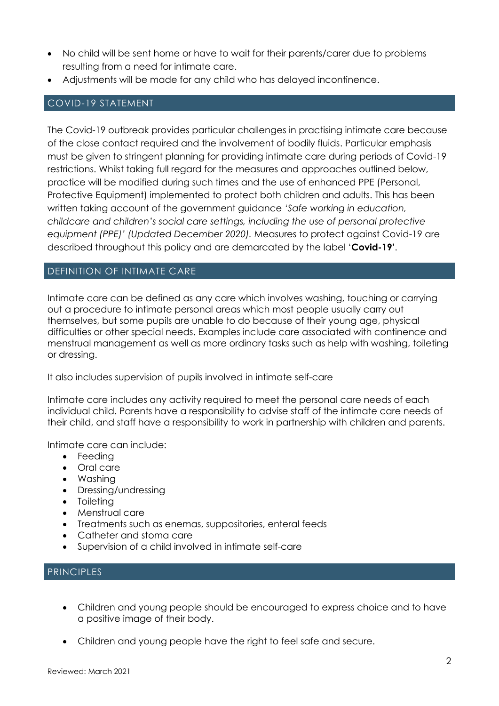- No child will be sent home or have to wait for their parents/carer due to problems resulting from a need for intimate care.
- Adjustments will be made for any child who has delayed incontinence.

#### COVID-19 STATEMENT

The Covid-19 outbreak provides particular challenges in practising intimate care because of the close contact required and the involvement of bodily fluids. Particular emphasis must be given to stringent planning for providing intimate care during periods of Covid-19 restrictions. Whilst taking full regard for the measures and approaches outlined below, practice will be modified during such times and the use of enhanced PPE (Personal, Protective Equipment) implemented to protect both children and adults. This has been written taking account of the government guidance *'Safe working in education, childcare and children's social care settings, including the use of personal protective equipment (PPE)' (Updated December 2020).* Measures to protect against Covid-19 are described throughout this policy and are demarcated by the label '**Covid-19'**.

#### DEFINITION OF INTIMATE CARE

Intimate care can be defined as any care which involves washing, touching or carrying out a procedure to intimate personal areas which most people usually carry out themselves, but some pupils are unable to do because of their young age, physical difficulties or other special needs. Examples include care associated with continence and menstrual management as well as more ordinary tasks such as help with washing, toileting or dressing.

It also includes supervision of pupils involved in intimate self-care

Intimate care includes any activity required to meet the personal care needs of each individual child. Parents have a responsibility to advise staff of the intimate care needs of their child, and staff have a responsibility to work in partnership with children and parents.

Intimate care can include:

- Feeding
- Oral care
- Washing
- Dressing/undressing
- Toileting
- Menstrual care
- Treatments such as enemas, suppositories, enteral feeds
- Catheter and stoma care
- Supervision of a child involved in intimate self-care

#### PRINCIPLES

- Children and young people should be encouraged to express choice and to have a positive image of their body.
- Children and young people have the right to feel safe and secure.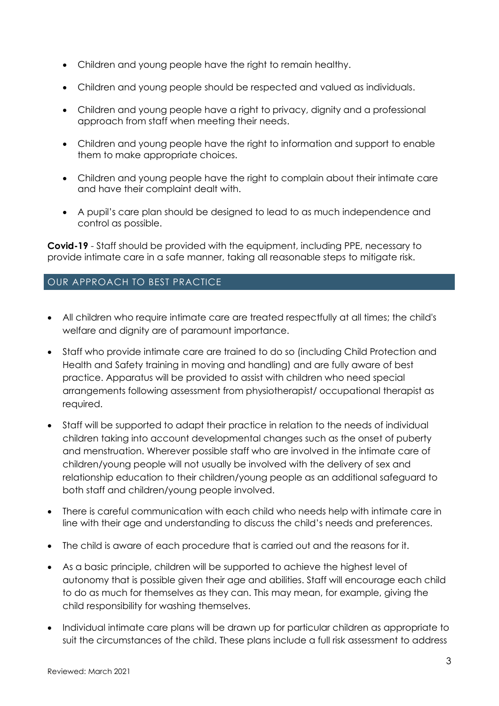- Children and young people have the right to remain healthy.
- Children and young people should be respected and valued as individuals.
- Children and young people have a right to privacy, dignity and a professional approach from staff when meeting their needs.
- Children and young people have the right to information and support to enable them to make appropriate choices.
- Children and young people have the right to complain about their intimate care and have their complaint dealt with.
- A pupil's care plan should be designed to lead to as much independence and control as possible.

**Covid-19** - Staff should be provided with the equipment, including PPE, necessary to provide intimate care in a safe manner, taking all reasonable steps to mitigate risk.

#### OUR APPROACH TO BEST PRACTICE

- All children who require intimate care are treated respectfully at all times; the child's welfare and dignity are of paramount importance.
- Staff who provide intimate care are trained to do so (including Child Protection and Health and Safety training in moving and handling) and are fully aware of best practice. Apparatus will be provided to assist with children who need special arrangements following assessment from physiotherapist/ occupational therapist as required.
- Staff will be supported to adapt their practice in relation to the needs of individual children taking into account developmental changes such as the onset of puberty and menstruation. Wherever possible staff who are involved in the intimate care of children/young people will not usually be involved with the delivery of sex and relationship education to their children/young people as an additional safeguard to both staff and children/young people involved.
- There is careful communication with each child who needs help with intimate care in line with their age and understanding to discuss the child's needs and preferences.
- The child is aware of each procedure that is carried out and the reasons for it.
- As a basic principle, children will be supported to achieve the highest level of autonomy that is possible given their age and abilities. Staff will encourage each child to do as much for themselves as they can. This may mean, for example, giving the child responsibility for washing themselves.
- Individual intimate care plans will be drawn up for particular children as appropriate to suit the circumstances of the child. These plans include a full risk assessment to address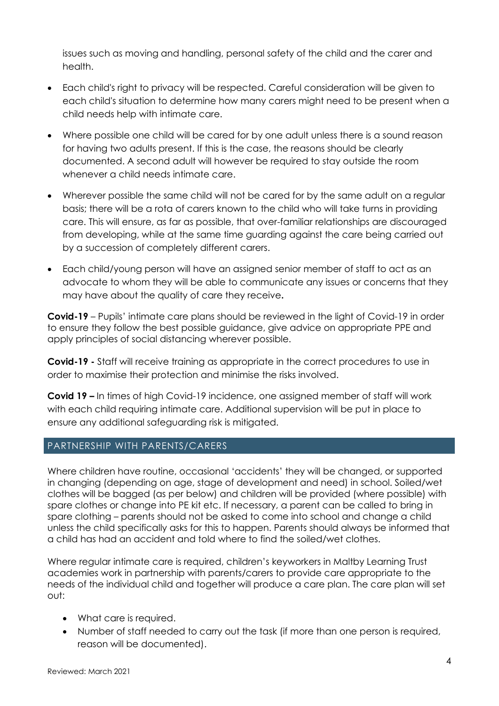issues such as moving and handling, personal safety of the child and the carer and health.

- Each child's right to privacy will be respected. Careful consideration will be given to each child's situation to determine how many carers might need to be present when a child needs help with intimate care.
- Where possible one child will be cared for by one adult unless there is a sound reason for having two adults present. If this is the case, the reasons should be clearly documented. A second adult will however be required to stay outside the room whenever a child needs intimate care.
- Wherever possible the same child will not be cared for by the same adult on a regular basis; there will be a rota of carers known to the child who will take turns in providing care. This will ensure, as far as possible, that over-familiar relationships are discouraged from developing, while at the same time guarding against the care being carried out by a succession of completely different carers.
- Each child/young person will have an assigned senior member of staff to act as an advocate to whom they will be able to communicate any issues or concerns that they may have about the quality of care they receive**.**

**Covid-19** – Pupils' intimate care plans should be reviewed in the light of Covid-19 in order to ensure they follow the best possible guidance, give advice on appropriate PPE and apply principles of social distancing wherever possible.

**Covid-19 -** Staff will receive training as appropriate in the correct procedures to use in order to maximise their protection and minimise the risks involved.

**Covid 19 –** In times of high Covid-19 incidence, one assigned member of staff will work with each child requiring intimate care. Additional supervision will be put in place to ensure any additional safeguarding risk is mitigated.

#### PARTNERSHIP WITH PARENTS/CARERS

Where children have routine, occasional 'accidents' they will be changed, or supported in changing (depending on age, stage of development and need) in school. Soiled/wet clothes will be bagged (as per below) and children will be provided (where possible) with spare clothes or change into PE kit etc. If necessary, a parent can be called to bring in spare clothing – parents should not be asked to come into school and change a child unless the child specifically asks for this to happen. Parents should always be informed that a child has had an accident and told where to find the soiled/wet clothes.

Where regular intimate care is required, children's keyworkers in Maltby Learning Trust academies work in partnership with parents/carers to provide care appropriate to the needs of the individual child and together will produce a care plan. The care plan will set out:

- What care is required.
- Number of staff needed to carry out the task (if more than one person is required, reason will be documented).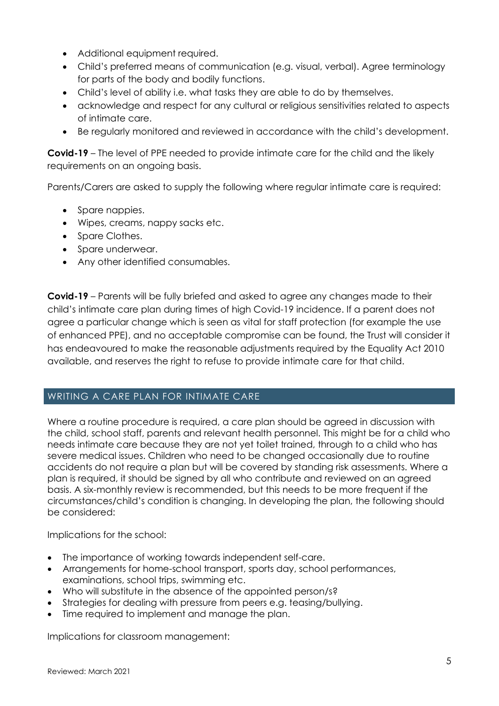- Additional equipment required.
- Child's preferred means of communication (e.g. visual, verbal). Agree terminology for parts of the body and bodily functions.
- Child's level of ability i.e. what tasks they are able to do by themselves.
- acknowledge and respect for any cultural or religious sensitivities related to aspects of intimate care.
- Be regularly monitored and reviewed in accordance with the child's development.

**Covid-19** – The level of PPE needed to provide intimate care for the child and the likely requirements on an ongoing basis.

Parents/Carers are asked to supply the following where regular intimate care is required:

- Spare nappies.
- Wipes, creams, nappy sacks etc.
- Spare Clothes.
- Spare underwear.
- Any other identified consumables.

**Covid-19** – Parents will be fully briefed and asked to agree any changes made to their child's intimate care plan during times of high Covid-19 incidence. If a parent does not agree a particular change which is seen as vital for staff protection (for example the use of enhanced PPE), and no acceptable compromise can be found, the Trust will consider it has endeavoured to make the reasonable adjustments required by the Equality Act 2010 available, and reserves the right to refuse to provide intimate care for that child.

#### WRITING A CARE PLAN FOR INTIMATE CARE

Where a routine procedure is required, a care plan should be agreed in discussion with the child, school staff, parents and relevant health personnel. This might be for a child who needs intimate care because they are not yet toilet trained, through to a child who has severe medical issues. Children who need to be changed occasionally due to routine accidents do not require a plan but will be covered by standing risk assessments. Where a plan is required, it should be signed by all who contribute and reviewed on an agreed basis. A six-monthly review is recommended, but this needs to be more frequent if the circumstances/child's condition is changing. In developing the plan, the following should be considered:

Implications for the school:

- The importance of working towards independent self-care.
- Arrangements for home-school transport, sports day, school performances, examinations, school trips, swimming etc.
- Who will substitute in the absence of the appointed person/s?
- Strategies for dealing with pressure from peers e.g. teasing/bullying.
- Time required to implement and manage the plan.

Implications for classroom management: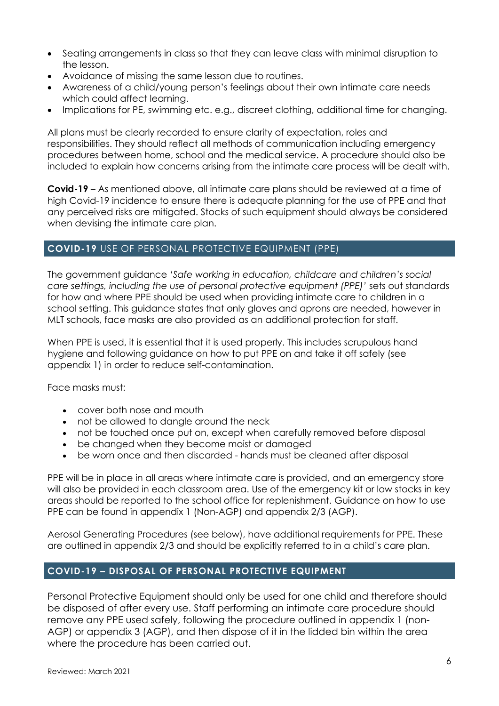- Seating arrangements in class so that they can leave class with minimal disruption to the lesson.
- Avoidance of missing the same lesson due to routines.
- Awareness of a child/young person's feelings about their own intimate care needs which could affect learning.
- Implications for PE, swimming etc. e.g., discreet clothing, additional time for changing.

All plans must be clearly recorded to ensure clarity of expectation, roles and responsibilities. They should reflect all methods of communication including emergency procedures between home, school and the medical service. A procedure should also be included to explain how concerns arising from the intimate care process will be dealt with.

**Covid-19** – As mentioned above, all intimate care plans should be reviewed at a time of high Covid-19 incidence to ensure there is adequate planning for the use of PPE and that any perceived risks are mitigated. Stocks of such equipment should always be considered when devising the intimate care plan.

#### **COVID-19** USE OF PERSONAL PROTECTIVE EQUIPMENT (PPE)

The government guidance '*Safe working in education, childcare and children's social care settings, including the use of personal protective equipment (PPE)'* sets out standards for how and where PPE should be used when providing intimate care to children in a school setting. This guidance states that only gloves and aprons are needed, however in MLT schools, face masks are also provided as an additional protection for staff.

When PPE is used, it is essential that it is used properly. This includes scrupulous hand hygiene and following guidance on how to put PPE on and take it off safely (see appendix 1) in order to reduce self-contamination.

Face masks must:

- cover both nose and mouth
- not be allowed to dangle around the neck
- not be touched once put on, except when carefully removed before disposal
- be changed when they become moist or damaged
- be worn once and then discarded hands must be cleaned after disposal

PPE will be in place in all areas where intimate care is provided, and an emergency store will also be provided in each classroom area. Use of the emergency kit or low stocks in key areas should be reported to the school office for replenishment. Guidance on how to use PPE can be found in appendix 1 (Non-AGP) and appendix 2/3 (AGP).

Aerosol Generating Procedures (see below), have additional requirements for PPE. These are outlined in appendix 2/3 and should be explicitly referred to in a child's care plan.

#### **COVID-19 – DISPOSAL OF PERSONAL PROTECTIVE EQUIPMENT**

Personal Protective Equipment should only be used for one child and therefore should be disposed of after every use. Staff performing an intimate care procedure should remove any PPE used safely, following the procedure outlined in appendix 1 (non-AGP) or appendix 3 (AGP), and then dispose of it in the lidded bin within the area where the procedure has been carried out.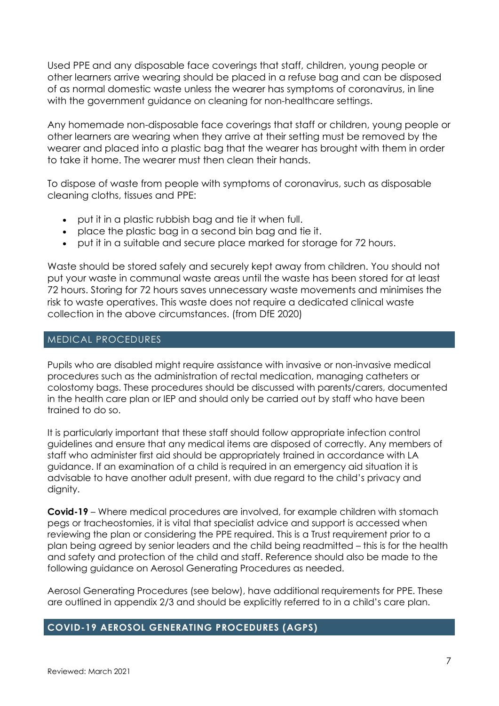Used PPE and any disposable face coverings that staff, children, young people or other learners arrive wearing should be placed in a refuse bag and can be disposed of as normal domestic waste unless the wearer has symptoms of coronavirus, in line with the government guidance on cleaning for non-healthcare settings.

Any homemade non-disposable face coverings that staff or children, young people or other learners are wearing when they arrive at their setting must be removed by the wearer and placed into a plastic bag that the wearer has brought with them in order to take it home. The wearer must then clean their hands.

To dispose of waste from people with symptoms of coronavirus, such as disposable cleaning cloths, tissues and PPE:

- put it in a plastic rubbish bag and tie it when full.
- place the plastic bag in a second bin bag and tie it.
- put it in a suitable and secure place marked for storage for 72 hours.

Waste should be stored safely and securely kept away from children. You should not put your waste in communal waste areas until the waste has been stored for at least 72 hours. Storing for 72 hours saves unnecessary waste movements and minimises the risk to waste operatives. This waste does not require a dedicated clinical waste collection in the above circumstances. (from DfE 2020)

#### MEDICAL PROCEDURES

Pupils who are disabled might require assistance with invasive or non-invasive medical procedures such as the administration of rectal medication, managing catheters or colostomy bags. These procedures should be discussed with parents/carers, documented in the health care plan or IEP and should only be carried out by staff who have been trained to do so.

It is particularly important that these staff should follow appropriate infection control guidelines and ensure that any medical items are disposed of correctly. Any members of staff who administer first aid should be appropriately trained in accordance with LA guidance. If an examination of a child is required in an emergency aid situation it is advisable to have another adult present, with due regard to the child's privacy and dignity.

**Covid-19** – Where medical procedures are involved, for example children with stomach pegs or tracheostomies, it is vital that specialist advice and support is accessed when reviewing the plan or considering the PPE required. This is a Trust requirement prior to a plan being agreed by senior leaders and the child being readmitted – this is for the health and safety and protection of the child and staff. Reference should also be made to the following guidance on Aerosol Generating Procedures as needed.

Aerosol Generating Procedures (see below), have additional requirements for PPE. These are outlined in appendix 2/3 and should be explicitly referred to in a child's care plan.

#### **COVID-19 AEROSOL GENERATING PROCEDURES (AGPS)**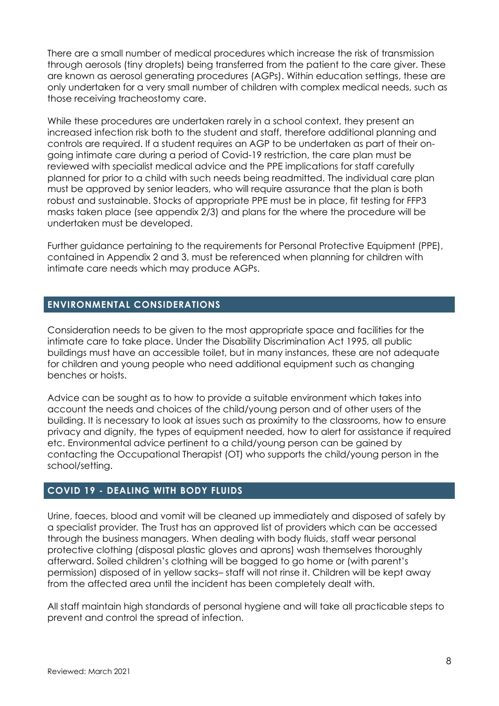There are a small number of medical procedures which increase the risk of transmission through aerosols (tiny droplets) being transferred from the patient to the care giver. These are known as aerosol generating procedures (AGPs). Within education settings, these are only undertaken for a very small number of children with complex medical needs, such as those receiving tracheostomy care.

While these procedures are undertaken rarely in a school context, they present an increased infection risk both to the student and staff, therefore additional planning and controls are required. If a student requires an AGP to be undertaken as part of their ongoing intimate care during a period of Covid-19 restriction, the care plan must be reviewed with specialist medical advice and the PPE implications for staff carefully planned for prior to a child with such needs being readmitted. The individual care plan must be approved by senior leaders, who will require assurance that the plan is both robust and sustainable. Stocks of appropriate PPE must be in place, fit testing for FFP3 masks taken place (see appendix 2/3) and plans for the where the procedure will be undertaken must be developed.

Further guidance pertaining to the requirements for Personal Protective Equipment (PPE), contained in Appendix 2 and 3, must be referenced when planning for children with intimate care needs which may produce AGPs.

#### **ENVIRONMENTAL CONSIDERATIONS**

Consideration needs to be given to the most appropriate space and facilities for the intimate care to take place. Under the Disability Discrimination Act 1995, all public buildings must have an accessible toilet, but in many instances, these are not adequate for children and young people who need additional equipment such as changing benches or hoists.

Advice can be sought as to how to provide a suitable environment which takes into account the needs and choices of the child/young person and of other users of the building. It is necessary to look at issues such as proximity to the classrooms, how to ensure privacy and dignity, the types of equipment needed, how to alert for assistance if required etc. Environmental advice pertinent to a child/young person can be gained by contacting the Occupational Therapist (OT) who supports the child/young person in the school/setting.

#### **COVID 19 - DEALING WITH BODY FLUIDS**

Urine, faeces, blood and vomit will be cleaned up immediately and disposed of safely by a specialist provider*.* The Trust has an approved list of providers which can be accessed through the business managers. When dealing with body fluids, staff wear personal protective clothing (disposal plastic gloves and aprons) wash themselves thoroughly afterward. Soiled children's clothing will be bagged to go home or (with parent's permission) disposed of in yellow sacks*–* staff will not rinse it. Children will be kept away from the affected area until the incident has been completely dealt with.

All staff maintain high standards of personal hygiene and will take all practicable steps to prevent and control the spread of infection.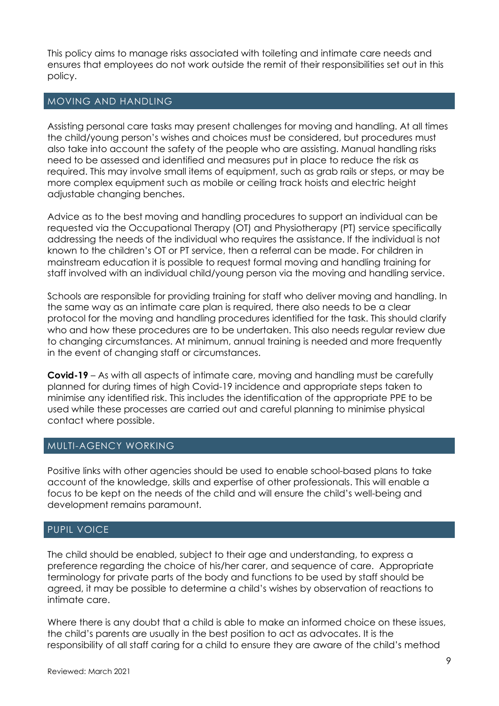This policy aims to manage risks associated with toileting and intimate care needs and ensures that employees do not work outside the remit of their responsibilities set out in this policy.

#### MOVING AND HANDLING

Assisting personal care tasks may present challenges for moving and handling. At all times the child/young person's wishes and choices must be considered, but procedures must also take into account the safety of the people who are assisting. Manual handling risks need to be assessed and identified and measures put in place to reduce the risk as required. This may involve small items of equipment, such as grab rails or steps, or may be more complex equipment such as mobile or ceiling track hoists and electric height adjustable changing benches.

Advice as to the best moving and handling procedures to support an individual can be requested via the Occupational Therapy (OT) and Physiotherapy (PT) service specifically addressing the needs of the individual who requires the assistance. If the individual is not known to the children's OT or PT service, then a referral can be made. For children in mainstream education it is possible to request formal moving and handling training for staff involved with an individual child/young person via the moving and handling service.

Schools are responsible for providing training for staff who deliver moving and handling. In the same way as an intimate care plan is required, there also needs to be a clear protocol for the moving and handling procedures identified for the task. This should clarify who and how these procedures are to be undertaken. This also needs regular review due to changing circumstances. At minimum, annual training is needed and more frequently in the event of changing staff or circumstances.

**Covid-19** – As with all aspects of intimate care, moving and handling must be carefully planned for during times of high Covid-19 incidence and appropriate steps taken to minimise any identified risk. This includes the identification of the appropriate PPE to be used while these processes are carried out and careful planning to minimise physical contact where possible.

#### MULTI-AGENCY WORKING

Positive links with other agencies should be used to enable school-based plans to take account of the knowledge, skills and expertise of other professionals. This will enable a focus to be kept on the needs of the child and will ensure the child's well-being and development remains paramount.

#### PUPIL VOICE

The child should be enabled, subject to their age and understanding, to express a preference regarding the choice of his/her carer, and sequence of care. Appropriate terminology for private parts of the body and functions to be used by staff should be agreed, it may be possible to determine a child's wishes by observation of reactions to intimate care.

Where there is any doubt that a child is able to make an informed choice on these issues, the child's parents are usually in the best position to act as advocates. It is the responsibility of all staff caring for a child to ensure they are aware of the child's method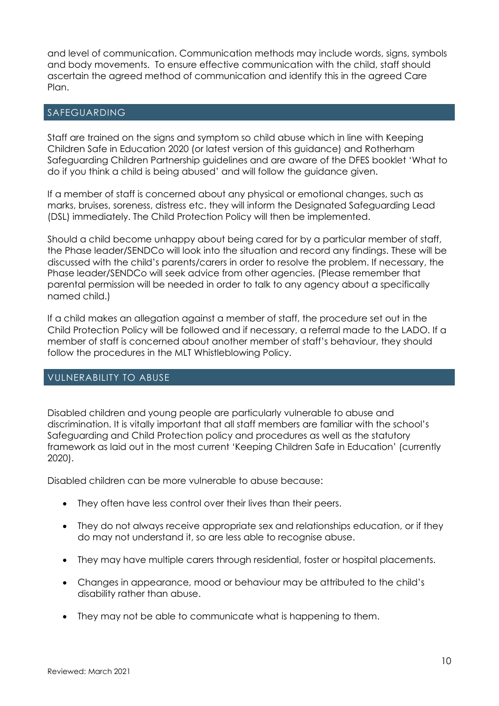and level of communication. Communication methods may include words, signs, symbols and body movements. To ensure effective communication with the child, staff should ascertain the agreed method of communication and identify this in the agreed Care Plan.

#### SAFEGUARDING

Staff are trained on the signs and symptom so child abuse which in line with Keeping Children Safe in Education 2020 (or latest version of this guidance) and Rotherham Safeguarding Children Partnership guidelines and are aware of the DFES booklet 'What to do if you think a child is being abused' and will follow the guidance given.

If a member of staff is concerned about any physical or emotional changes, such as marks, bruises, soreness, distress etc. they will inform the Designated Safeguarding Lead (DSL) immediately. The Child Protection Policy will then be implemented.

Should a child become unhappy about being cared for by a particular member of staff, the Phase leader/SENDCo will look into the situation and record any findings. These will be discussed with the child's parents/carers in order to resolve the problem. If necessary, the Phase leader/SENDCo will seek advice from other agencies. (Please remember that parental permission will be needed in order to talk to any agency about a specifically named child.)

If a child makes an allegation against a member of staff, the procedure set out in the Child Protection Policy will be followed and if necessary, a referral made to the LADO. If a member of staff is concerned about another member of staff's behaviour, they should follow the procedures in the MLT Whistleblowing Policy.

#### VULNERABILITY TO ABUSE

Disabled children and young people are particularly vulnerable to abuse and discrimination. It is vitally important that all staff members are familiar with the school's Safeguarding and Child Protection policy and procedures as well as the statutory framework as laid out in the most current 'Keeping Children Safe in Education' (currently 2020).

Disabled children can be more vulnerable to abuse because:

- They often have less control over their lives than their peers.
- They do not always receive appropriate sex and relationships education, or if they do may not understand it, so are less able to recognise abuse.
- They may have multiple carers through residential, foster or hospital placements.
- Changes in appearance, mood or behaviour may be attributed to the child's disability rather than abuse.
- They may not be able to communicate what is happening to them.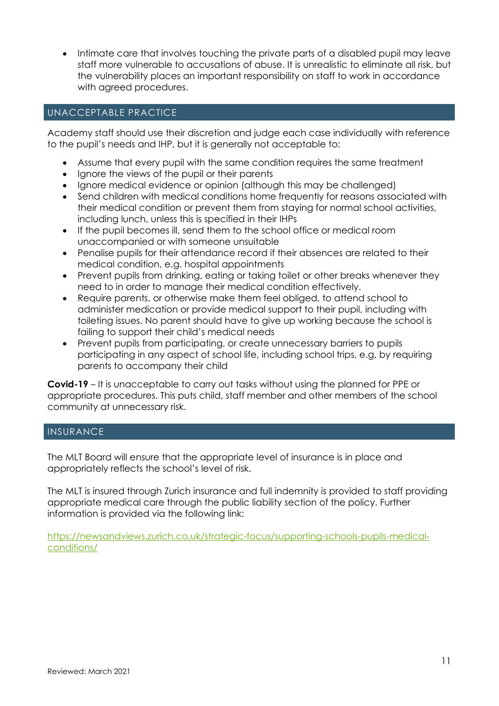• Intimate care that involves touching the private parts of a disabled pupil may leave staff more vulnerable to accusations of abuse. It is unrealistic to eliminate all risk, but the vulnerability places an important responsibility on staff to work in accordance with agreed procedures.

#### UNACCEPTABLE PRACTICE

Academy staff should use their discretion and judge each case individually with reference to the pupil's needs and IHP, but it is generally not acceptable to:

- Assume that every pupil with the same condition requires the same treatment
- Ignore the views of the pupil or their parents
- Ignore medical evidence or opinion (although this may be challenged)
- Send children with medical conditions home frequently for reasons associated with their medical condition or prevent them from staying for normal school activities, including lunch, unless this is specified in their IHPs
- If the pupil becomes ill, send them to the school office or medical room unaccompanied or with someone unsuitable
- Penalise pupils for their attendance record if their absences are related to their medical condition, e.g. hospital appointments
- Prevent pupils from drinking, eating or taking toilet or other breaks whenever they need to in order to manage their medical condition effectively.
- Require parents, or otherwise make them feel obliged, to attend school to administer medication or provide medical support to their pupil, including with toileting issues. No parent should have to give up working because the school is failing to support their child's medical needs
- Prevent pupils from participating, or create unnecessary barriers to pupils participating in any aspect of school life, including school trips, e.g. by requiring parents to accompany their child

**Covid-19** – It is unacceptable to carry out tasks without using the planned for PPE or appropriate procedures. This puts child, staff member and other members of the school community at unnecessary risk.

#### INSURANCE

The MLT Board will ensure that the appropriate level of insurance is in place and appropriately reflects the school's level of risk.

The MLT is insured through Zurich insurance and full indemnity is provided to staff providing appropriate medical care through the public liability section of the policy. Further information is provided via the following link:

[https://newsandviews.zurich.co.uk/strategic-focus/supporting-schools-pupils-medical](https://newsandviews.zurich.co.uk/strategic-focus/supporting-schools-pupils-medical-conditions/)[conditions/](https://newsandviews.zurich.co.uk/strategic-focus/supporting-schools-pupils-medical-conditions/)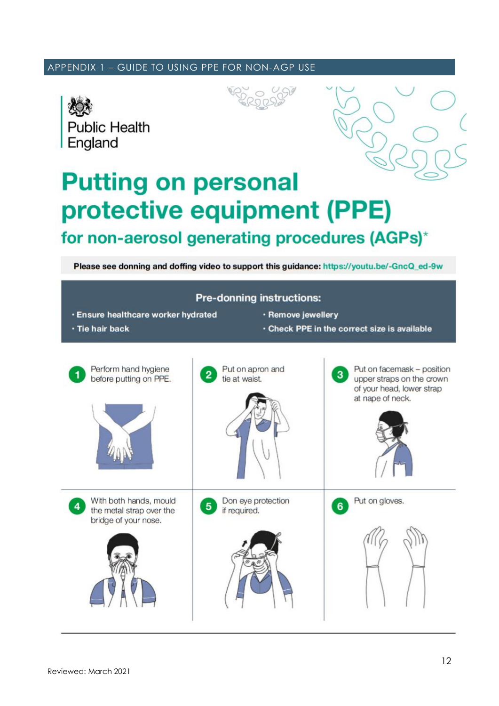#### APPENDIX 1 – GUIDE TO USING PPE FOR NON-AGP USE





## **Putting on personal** protective equipment (PPE) for non-aerosol generating procedures (AGPs)\*

Please see donning and doffing video to support this guidance: https://youtu.be/-GncQ\_ed-9w

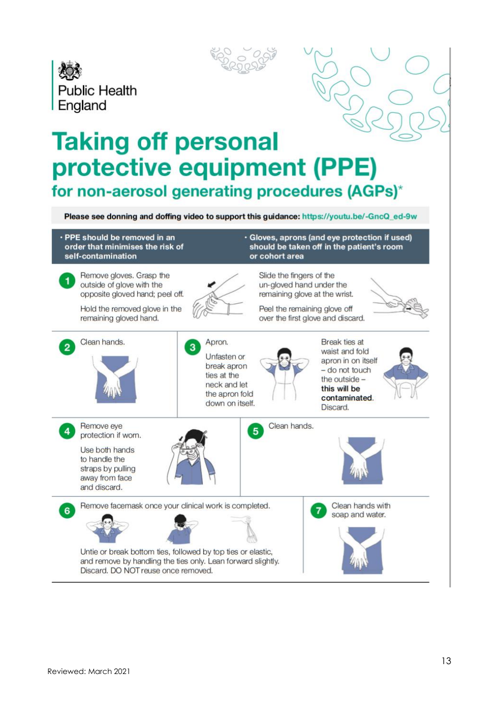



# **Taking off personal** protective equipment (PPE) for non-aerosol generating procedures (AGPs)\*

Please see donning and doffing video to support this guidance: https://youtu.be/-GncQ\_ed-9w

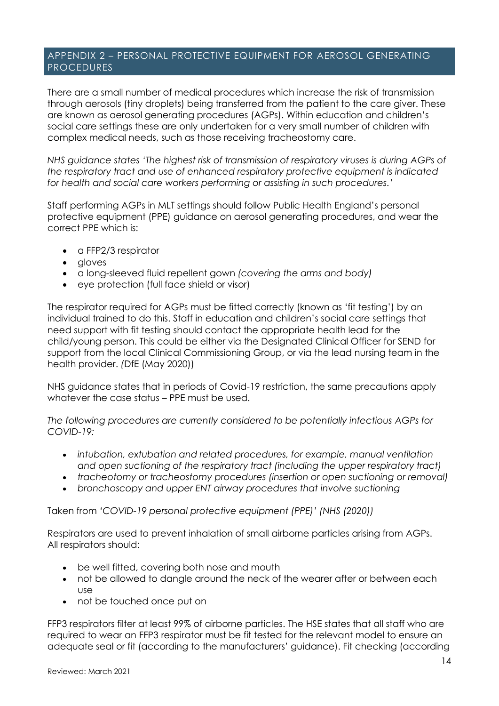#### APPENDIX 2 – PERSONAL PROTECTIVE EQUIPMENT FOR AEROSOL GENERATING PROCEDURES

There are a small number of medical procedures which increase the risk of transmission through aerosols (tiny droplets) being transferred from the patient to the care giver. These are known as aerosol generating procedures (AGPs). Within education and children's social care settings these are only undertaken for a very small number of children with complex medical needs, such as those receiving tracheostomy care.

*NHS guidance states 'The highest risk of transmission of respiratory viruses is during AGPs of the respiratory tract and use of enhanced respiratory protective equipment is indicated for health and social care workers performing or assisting in such procedures.'*

Staff performing AGPs in MLT settings should follow Public Health England's personal protective equipment (PPE) guidance on aerosol generating procedures, and wear the correct PPE which is:

- a FFP2/3 respirator
- gloves
- a long-sleeved fluid repellent gown *(covering the arms and body)*
- eye protection (full face shield or visor)

The respirator required for AGPs must be fitted correctly (known as 'fit testing') by an individual trained to do this. Staff in education and children's social care settings that need support with fit testing should contact the appropriate health lead for the child/young person. This could be either via the Designated Clinical Officer for SEND for support from the local Clinical Commissioning Group, or via the lead nursing team in the health provider. *(*DfE (May 2020))

NHS guidance states that in periods of Covid-19 restriction, the same precautions apply whatever the case status – PPE must be used.

*The following procedures are currently considered to be potentially infectious AGPs for COVID-19:*

- *intubation, extubation and related procedures, for example, manual ventilation and open suctioning of the respiratory tract (including the upper respiratory tract)*
- *tracheotomy or tracheostomy procedures (insertion or open suctioning or removal)*
- *bronchoscopy and upper ENT airway procedures that involve suctioning*

Taken from *'COVID-19 personal protective equipment (PPE)' (NHS (2020))*

Respirators are used to prevent inhalation of small airborne particles arising from AGPs. All respirators should:

- be well fitted, covering both nose and mouth
- not be allowed to dangle around the neck of the wearer after or between each use
- not be touched once put on

FFP3 respirators filter at least 99% of airborne particles. The HSE states that all staff who are required to wear an FFP3 respirator must be fit tested for the relevant model to ensure an adequate seal or fit (according to the manufacturers' guidance). Fit checking (according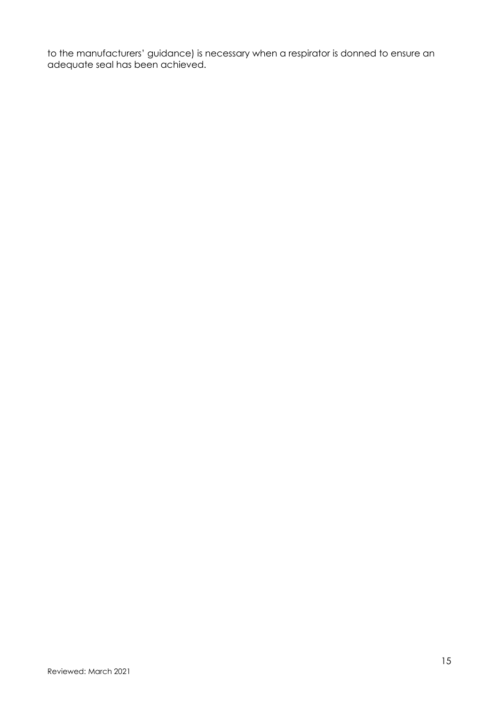to the manufacturers' guidance) is necessary when a respirator is donned to ensure an adequate seal has been achieved.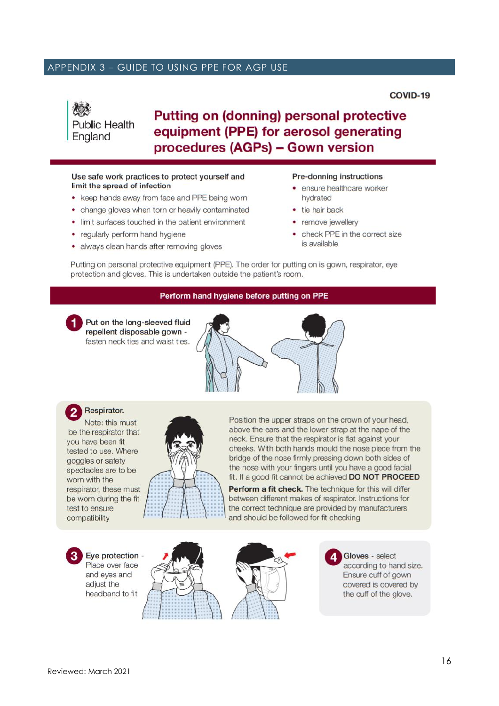#### APPENDIX 3 – GUIDE TO USING PPE FOR AGP USE

COVID-19

### **Putting on (donning) personal protective** equipment (PPE) for aerosol generating procedures (AGPs) - Gown version

#### Use safe work practices to protect yourself and limit the spread of infection

- keep hands away from face and PPE being worn
- change gloves when torn or heavily contaminated
- limit surfaces touched in the patient environment
- regularly perform hand hygiene

**Public Health** 

England

• always clean hands after removing gloves

#### Pre-donning instructions

- ensure healthcare worker hydrated
- tie hair back
- remove jewellery
- check PPE in the correct size is available

Putting on personal protective equipment (PPE). The order for putting on is gown, respirator, eye protection and gloves. This is undertaken outside the patient's room.

#### Perform hand hygiene before putting on PPE

Put on the long-sleeved fluid repellent disposable gown fasten neck ties and waist ties.



Respirator. Note: this must be the respirator that you have been fit tested to use. Where goggles or safety spectacles are to be worn with the respirator, these must be worn during the fit test to ensure compatibility



Position the upper straps on the crown of your head, above the ears and the lower strap at the nape of the neck. Ensure that the respirator is flat against your cheeks. With both hands mould the nose piece from the bridge of the nose firmly pressing down both sides of the nose with your fingers until you have a good facial fit. If a good fit cannot be achieved DO NOT PROCEED

Perform a fit check. The technique for this will differ between different makes of respirator. Instructions for the correct technique are provided by manufacturers and should be followed for fit checking

Eye protection -

Place over face and eyes and adjust the headband to fit





Gloves - select according to hand size. Ensure cuff of gown covered is covered by the cuff of the glove.